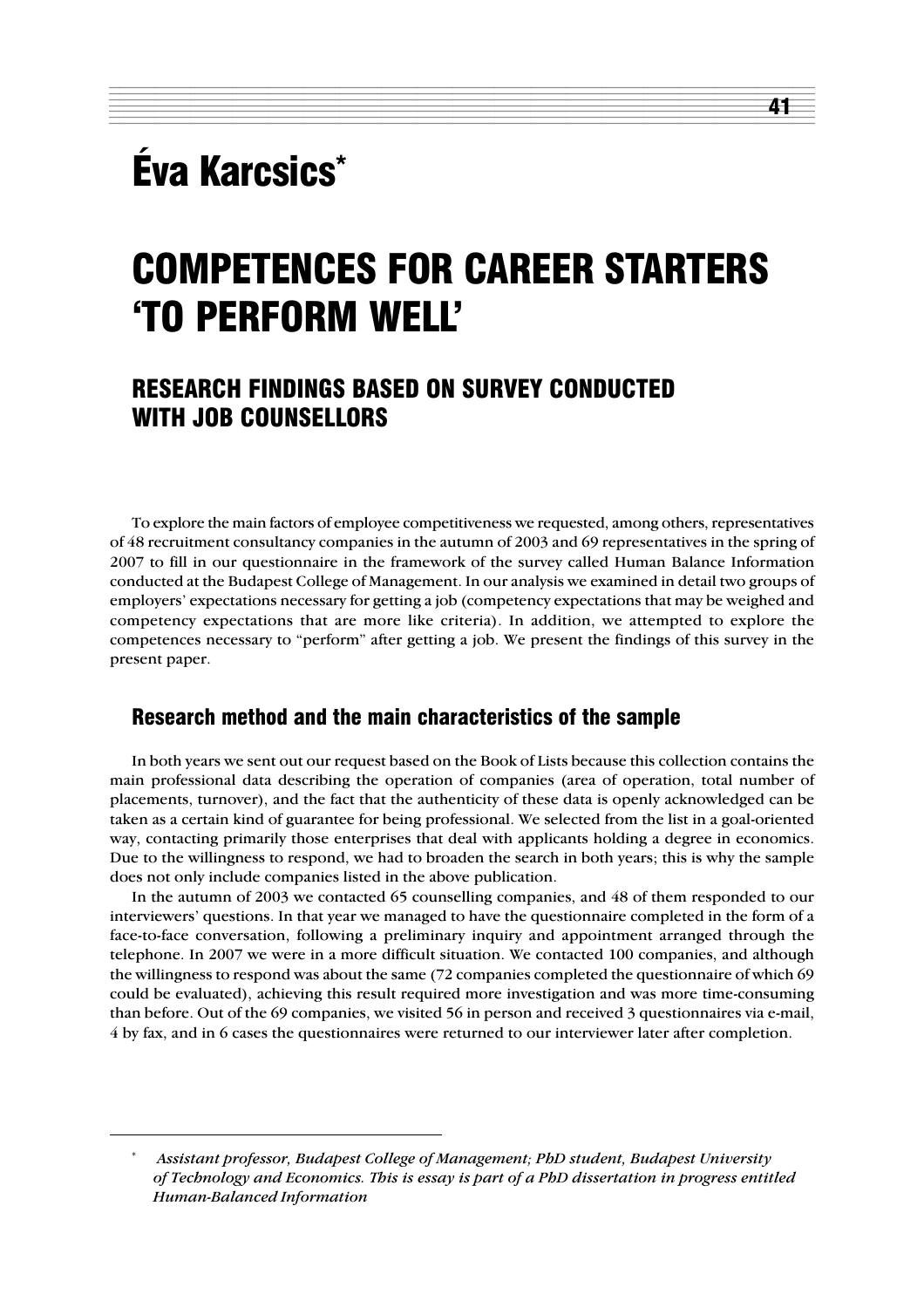# Éva Karcsics\*

# COMPETENCES FOR CAREER STARTERS 'TO PERFORM WELL'

12345678901234567890123456789012123456789012345678901234567890121234567890123456789012345678901212345678901234567890123 12345678901234567890123456789012123456789012345678901234567890121234567890123456789012345678901212345678901234567890123 1 3

41

## RESEARCH FINDINGS BASED ON SURVEY CONDUCTED WITH JOB COUNSELLORS

To explore the main factors of employee competitiveness we requested, among others, representatives of 48 recruitment consultancy companies in the autumn of 2003 and 69 representatives in the spring of 2007 to fill in our questionnaire in the framework of the survey called Human Balance Information conducted at the Budapest College of Management. In our analysis we examined in detail two groups of employers' expectations necessary for getting a job (competency expectations that may be weighed and competency expectations that are more like criteria). In addition, we attempted to explore the competences necessary to "perform" after getting a job. We present the findings of this survey in the present paper.

### Research method and the main characteristics of the sample

In both years we sent out our request based on the Book of Lists because this collection contains the main professional data describing the operation of companies (area of operation, total number of placements, turnover), and the fact that the authenticity of these data is openly acknowledged can be taken as a certain kind of guarantee for being professional. We selected from the list in a goal-oriented way, contacting primarily those enterprises that deal with applicants holding a degree in economics. Due to the willingness to respond, we had to broaden the search in both years; this is why the sample does not only include companies listed in the above publication.

In the autumn of 2003 we contacted 65 counselling companies, and 48 of them responded to our interviewers' questions. In that year we managed to have the questionnaire completed in the form of a face-to-face conversation, following a preliminary inquiry and appointment arranged through the telephone. In 2007 we were in a more difficult situation. We contacted 100 companies, and although the willingness to respond was about the same (72 companies completed the questionnaire of which 69 could be evaluated), achieving this result required more investigation and was more time-consuming than before. Out of the 69 companies, we visited 56 in person and received 3 questionnaires via e-mail, 4 by fax, and in 6 cases the questionnaires were returned to our interviewer later after completion.

<sup>\*</sup> *Assistant professor, Budapest College of Management; PhD student, Budapest University of Technology and Economics. This is essay is part of a PhD dissertation in progress entitled Human-Balanced Information*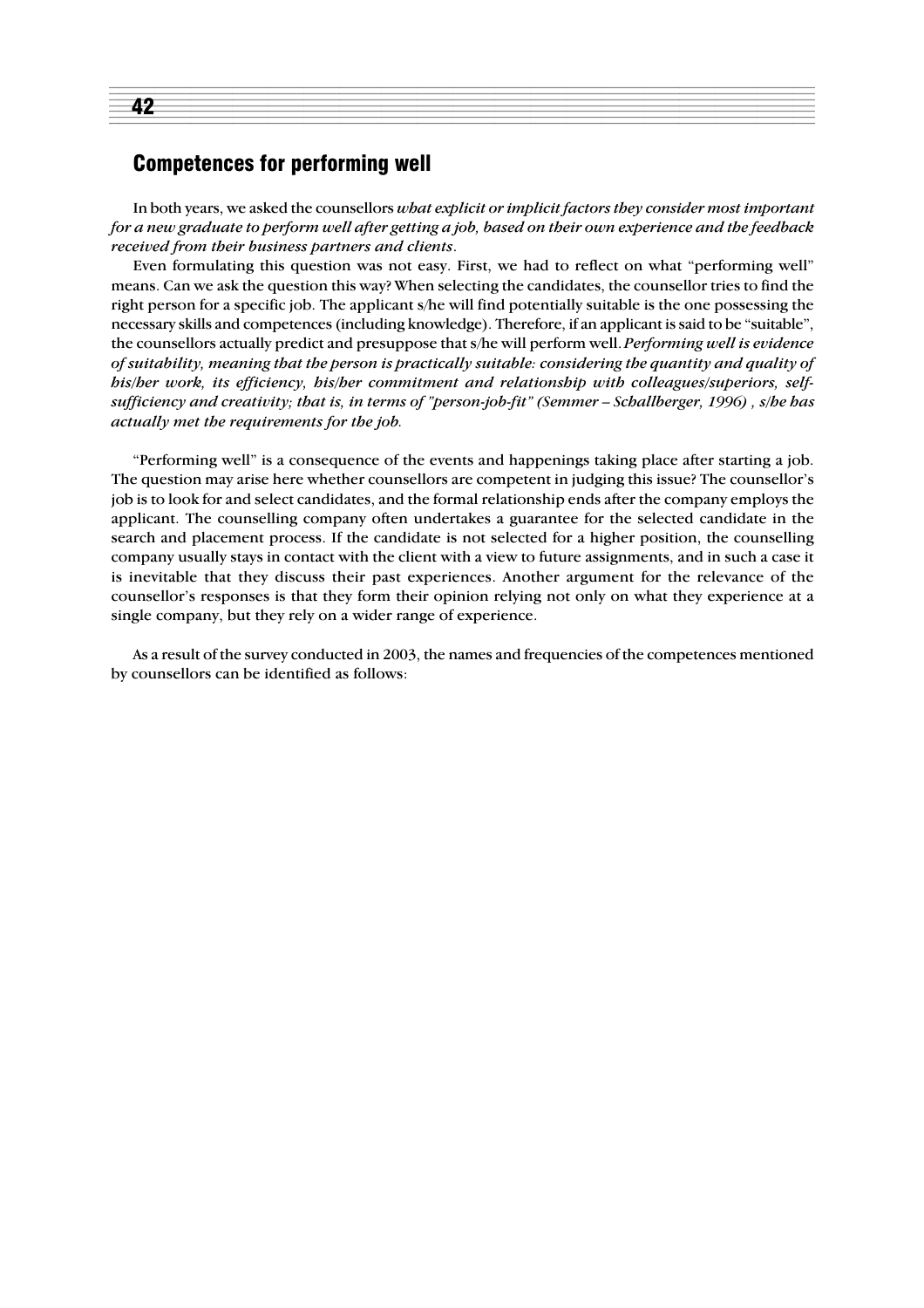### Competences for performing well

42

In both years, we asked the counsellors *what explicit or implicit factors they consider most important for a new graduate to perform well after getting a job, based on their own experience and the feedback received from their business partners and clients*.

12345678901234567890123456789012123456789012345678901234567890121234567890123456789012345678901212345678901234567890123 12345678901234567890123456789012123456789012345678901234567890121234567890123456789012345678901212345678901234567890123 1 de encora de la constructiva de la constructiva de la constructiva de la constructiva de la constructiva de

Even formulating this question was not easy. First, we had to reflect on what "performing well" means. Can we ask the question this way? When selecting the candidates, the counsellor tries to find the right person for a specific job. The applicant s/he will find potentially suitable is the one possessing the necessary skills and competences (including knowledge). Therefore, if an applicant is said to be "suitable", the counsellors actually predict and presuppose that s/he will perform well. *Performing well is evidence of suitability, meaning that the person is practically suitable: considering the quantity and quality of his/her work, its efficiency, his/her commitment and relationship with colleagues/superiors, selfsufficiency and creativity; that is, in terms of "person-job-fit" (Semmer – Schallberger, 1996) , s/he has actually met the requirements for the job.*

"Performing well" is a consequence of the events and happenings taking place after starting a job. The question may arise here whether counsellors are competent in judging this issue? The counsellor's job is to look for and select candidates, and the formal relationship ends after the company employs the applicant. The counselling company often undertakes a guarantee for the selected candidate in the search and placement process. If the candidate is not selected for a higher position, the counselling company usually stays in contact with the client with a view to future assignments, and in such a case it is inevitable that they discuss their past experiences. Another argument for the relevance of the counsellor's responses is that they form their opinion relying not only on what they experience at a single company, but they rely on a wider range of experience.

As a result of the survey conducted in 2003, the names and frequencies of the competences mentioned by counsellors can be identified as follows: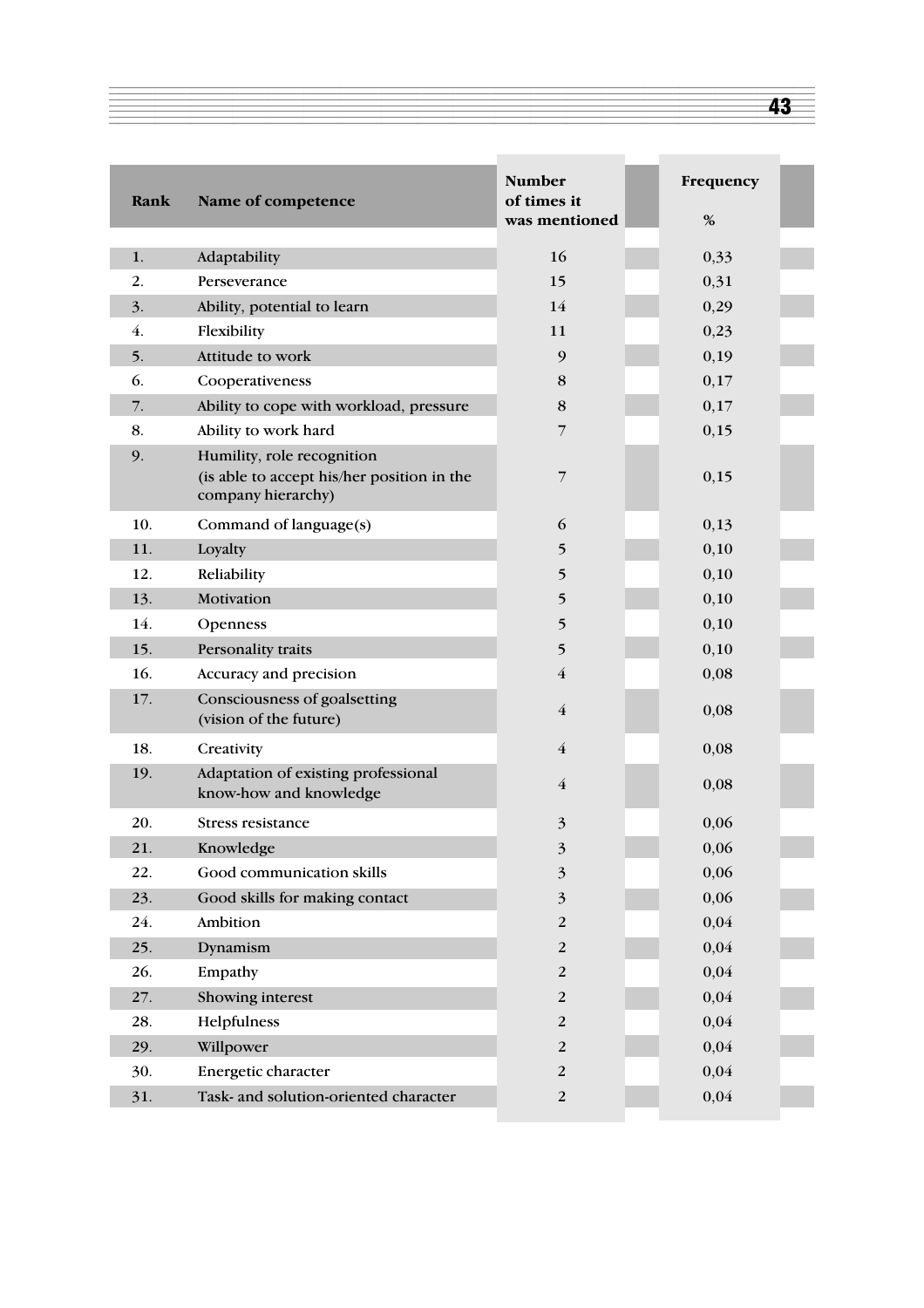| Rank             | Name of competence                                                                             | <b>Number</b><br>of times it<br>was mentioned          | Frequency<br>$\%$ |
|------------------|------------------------------------------------------------------------------------------------|--------------------------------------------------------|-------------------|
|                  |                                                                                                |                                                        |                   |
| 1.               | Adaptability                                                                                   | 16                                                     | 0,33              |
| 2.               | Perseverance                                                                                   | 15                                                     | 0,31              |
| 3.               | Ability, potential to learn                                                                    | 14                                                     | 0,29              |
| $\overline{4}$ . | Flexibility                                                                                    | 11                                                     | 0,23              |
| 5.               | Attitude to work                                                                               | 9                                                      | 0,19              |
| 6.               | Cooperativeness                                                                                | 8                                                      | 0,17              |
| 7.               | Ability to cope with workload, pressure                                                        | $\bf 8$                                                | 0,17              |
| 8.               | Ability to work hard                                                                           | 7                                                      | 0,15              |
| 9.               | Humility, role recognition<br>(is able to accept his/her position in the<br>company hierarchy) | 7                                                      | 0,15              |
| 10.              | Command of language(s)                                                                         | 6                                                      | 0,13              |
| 11.              | Loyalty                                                                                        | 5                                                      | 0,10              |
| 12.              | Reliability                                                                                    | 5                                                      | 0,10              |
| 13.              | Motivation                                                                                     | 5                                                      | 0,10              |
| 14.              | Openness                                                                                       | 5                                                      | 0,10              |
| 15.              | Personality traits                                                                             | 5                                                      | 0,10              |
| 16.              | Accuracy and precision                                                                         | $\overline{4}$                                         | 0,08              |
| 17.              | Consciousness of goalsetting<br>(vision of the future)                                         | $\overline{4}$                                         | 0,08              |
| 18.              | Creativity                                                                                     | $\overline{4}$                                         | 0,08              |
| 19.              | Adaptation of existing professional<br>know-how and knowledge                                  | $\overline{4}$                                         | 0,08              |
| 20.              | <b>Stress resistance</b>                                                                       | $\overline{\mathbf{3}}$                                | 0,06              |
| 21.              | Knowledge                                                                                      | $\overline{\mathbf{z}}$<br>$\mathcal{L}_{\mathcal{L}}$ | 0,06              |
| 22.              | Good communication skills                                                                      | $\overline{\mathbf{3}}$                                | 0,06              |
| 23.              | Good skills for making contact                                                                 | $\mathfrak{Z}$                                         | 0,06              |
| 24.              | Ambition                                                                                       | $\sqrt{2}$                                             | 0,04              |
| 25.              | Dynamism                                                                                       | $\boldsymbol{2}$                                       | 0,04              |
| 26.              | Empathy                                                                                        | $\sqrt{2}$                                             | 0,04              |
| 27.              | Showing interest                                                                               | $\sqrt{2}$                                             | 0,04              |
| 28.              | Helpfulness                                                                                    | $\boldsymbol{2}$                                       | 0,04              |
| 29.              | Willpower                                                                                      | $\sqrt{2}$                                             | 0,04              |
| 30.              | Energetic character                                                                            | $\sqrt{2}$                                             | 0,04              |
| 31.              | Task- and solution-oriented character                                                          | $\boldsymbol{2}$                                       | 0,04              |

 $\overline{a}$  and  $\overline{a}$  and  $\overline{a}$  and  $\overline{a}$  and  $\overline{a}$  and  $\overline{a}$  and  $\overline{a}$  and  $\overline{a}$  and  $\overline{a}$  and  $\overline{a}$  and  $\overline{a}$  and  $\overline{a}$  and  $\overline{a}$  and  $\overline{a}$  and  $\overline{a}$  and  $\overline{a}$  and  $\overline{a}$  and

43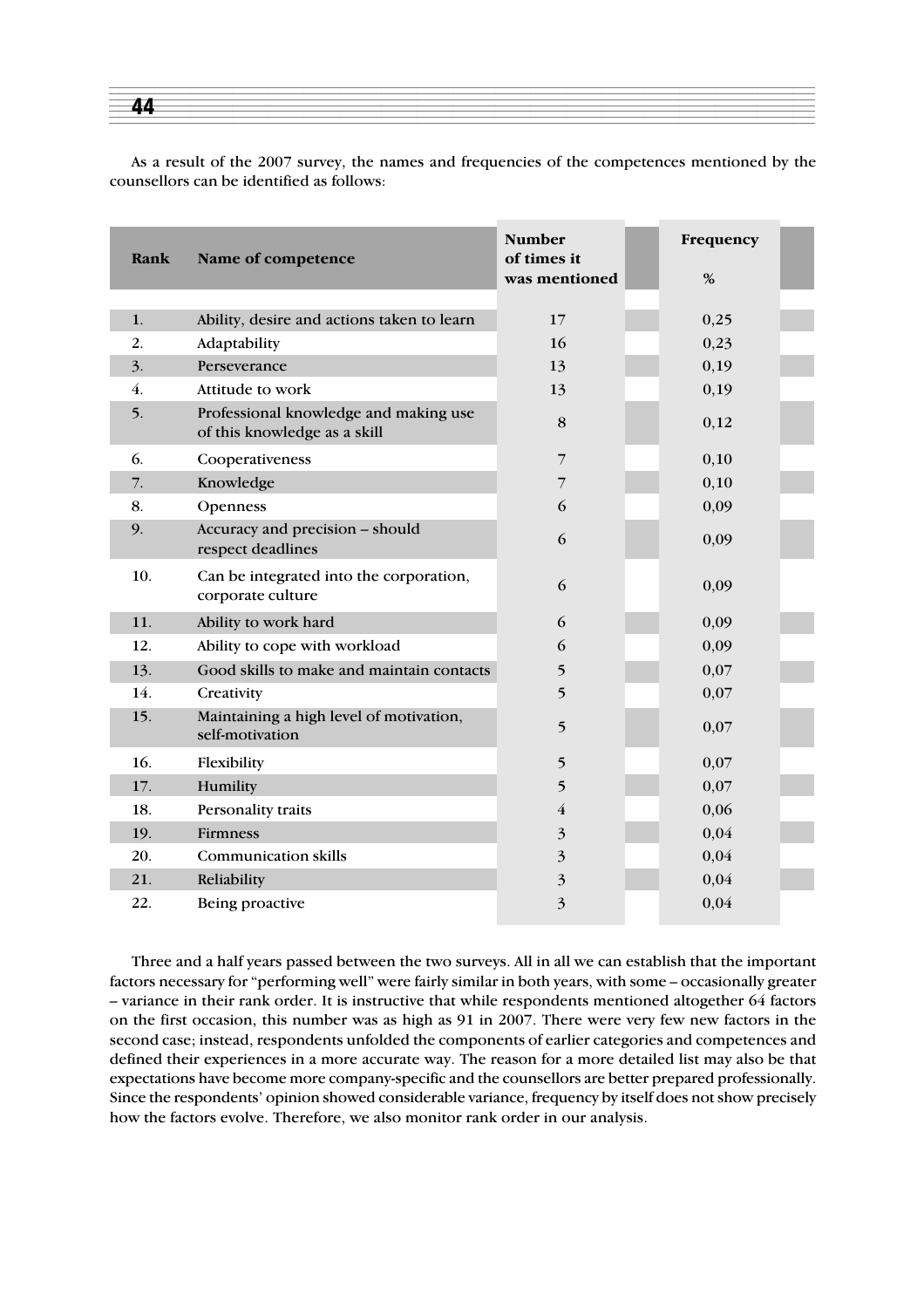| -- |
|----|
|    |
|    |

As a result of the 2007 survey, the names and frequencies of the competences mentioned by the counsellors can be identified as follows:

| Rank | Name of competence                                                    | <b>Number</b><br>of times it | Frequency |
|------|-----------------------------------------------------------------------|------------------------------|-----------|
|      |                                                                       | was mentioned                | %         |
| 1.   | Ability, desire and actions taken to learn                            | 17                           | 0,25      |
| 2.   |                                                                       | 16                           | 0,23      |
| 3.   | Adaptability<br>Perseverance                                          |                              |           |
|      |                                                                       | 13                           | 0,19      |
| 4.   | Attitude to work                                                      | 13                           | 0,19      |
| 5.   | Professional knowledge and making use<br>of this knowledge as a skill | 8                            | 0,12      |
| 6.   | Cooperativeness                                                       | $\overline{7}$               | 0,10      |
| 7.   | Knowledge                                                             | 7                            | 0,10      |
| 8.   | Openness                                                              | 6                            | 0,09      |
| 9.   | Accuracy and precision - should<br>respect deadlines                  | 6                            | 0,09      |
| 10.  | Can be integrated into the corporation,<br>corporate culture          | 6                            | 0,09      |
| 11.  | Ability to work hard                                                  | 6                            | 0,09      |
| 12.  | Ability to cope with workload                                         | 6                            | 0,09      |
| 13.  | Good skills to make and maintain contacts                             | 5                            | 0,07      |
| 14.  | Creativity                                                            | 5                            | 0,07      |
| 15.  | Maintaining a high level of motivation,<br>self-motivation            | 5                            | 0,07      |
| 16.  | Flexibility                                                           | 5                            | 0,07      |
| 17.  | Humility                                                              | 5                            | 0,07      |
| 18.  | Personality traits                                                    | $\overline{4}$               | 0,06      |
| 19.  | <b>Firmness</b>                                                       | 3                            | 0,04      |
| 20.  | <b>Communication skills</b>                                           | 3                            | 0,04      |
| 21.  | Reliability                                                           | $\overline{\mathbf{3}}$      | 0,04      |
| 22.  | Being proactive                                                       | 3                            | 0,04      |

Three and a half years passed between the two surveys. All in all we can establish that the important factors necessary for "performing well" were fairly similar in both years, with some – occasionally greater – variance in their rank order. It is instructive that while respondents mentioned altogether 64 factors on the first occasion, this number was as high as 91 in 2007. There were very few new factors in the second case; instead, respondents unfolded the components of earlier categories and competences and defined their experiences in a more accurate way. The reason for a more detailed list may also be that expectations have become more company-specific and the counsellors are better prepared professionally. Since the respondents' opinion showed considerable variance, frequency by itself does not show precisely how the factors evolve. Therefore, we also monitor rank order in our analysis.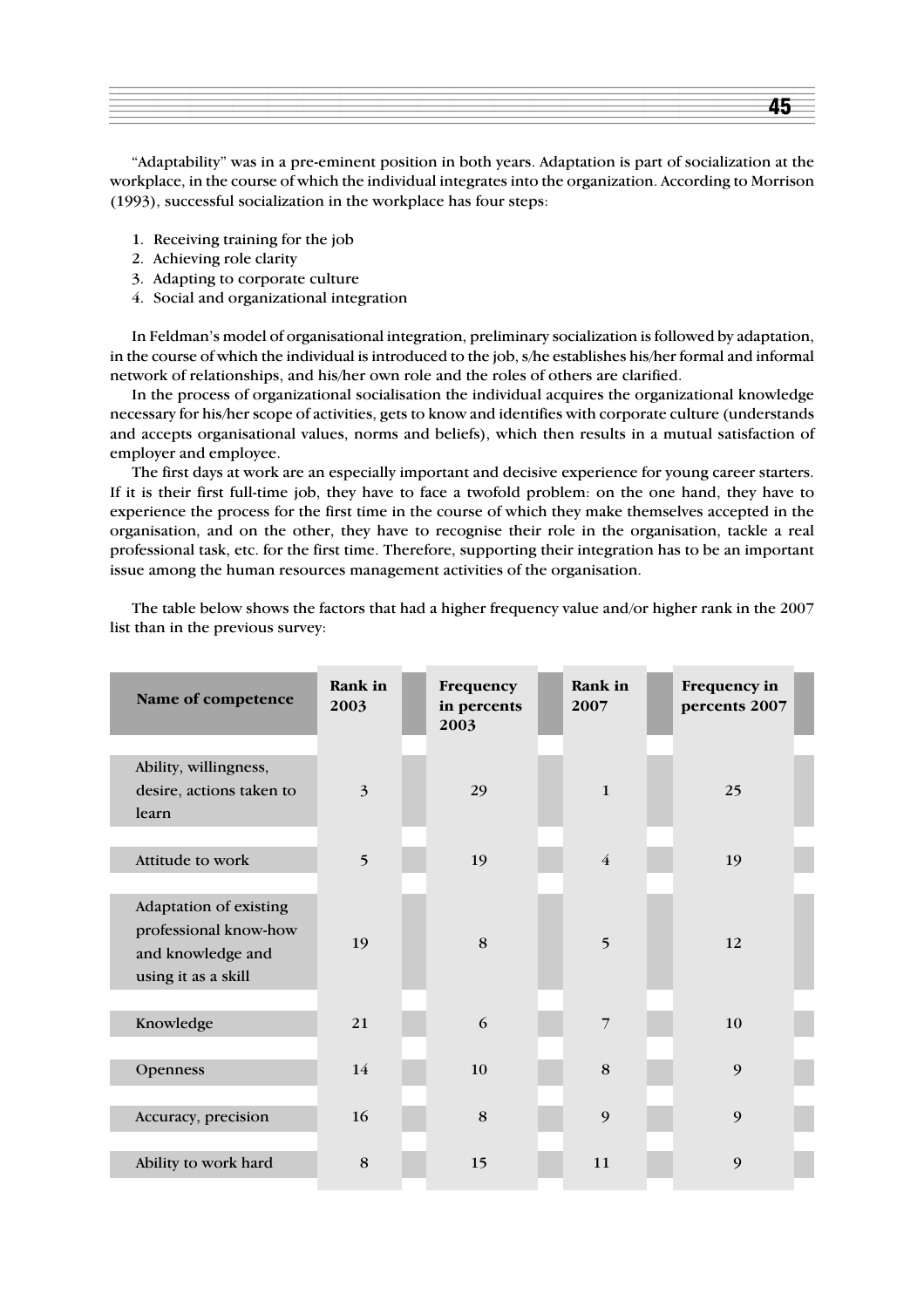"Adaptability" was in a pre-eminent position in both years. Adaptation is part of socialization at the workplace, in the course of which the individual integrates into the organization. According to Morrison (1993), successful socialization in the workplace has four steps:

- 1. Receiving training for the job
- 2. Achieving role clarity
- 3. Adapting to corporate culture
- 4. Social and organizational integration

In Feldman's model of organisational integration, preliminary socialization is followed by adaptation, in the course of which the individual is introduced to the job, s/he establishes his/her formal and informal network of relationships, and his/her own role and the roles of others are clarified.

In the process of organizational socialisation the individual acquires the organizational knowledge necessary for his/her scope of activities, gets to know and identifies with corporate culture (understands and accepts organisational values, norms and beliefs), which then results in a mutual satisfaction of employer and employee.

The first days at work are an especially important and decisive experience for young career starters. If it is their first full-time job, they have to face a twofold problem: on the one hand, they have to experience the process for the first time in the course of which they make themselves accepted in the organisation, and on the other, they have to recognise their role in the organisation, tackle a real professional task, etc. for the first time. Therefore, supporting their integration has to be an important issue among the human resources management activities of the organisation.

| Name of competence                                                                          | Rank in<br>2003 | Frequency<br>in percents<br>2003 | Rank in<br>2007 | Frequency in<br>percents 2007 |  |
|---------------------------------------------------------------------------------------------|-----------------|----------------------------------|-----------------|-------------------------------|--|
| Ability, willingness,<br>desire, actions taken to<br>learn                                  | $\overline{3}$  | 29                               | $\mathbf{1}$    | 25                            |  |
| Attitude to work                                                                            | 5               | 19                               | $\overline{4}$  | 19                            |  |
| Adaptation of existing<br>professional know-how<br>and knowledge and<br>using it as a skill | 19              | 8                                | 5               | 12                            |  |
| Knowledge                                                                                   | 21              | 6                                | $\overline{7}$  | 10                            |  |
| Openness                                                                                    | 14              | 10                               | 8               | 9                             |  |
| Accuracy, precision                                                                         | 16              | 8                                | 9               | 9                             |  |
| Ability to work hard                                                                        | 8               | 15                               | 11              | 9                             |  |

The table below shows the factors that had a higher frequency value and/or higher rank in the 2007 list than in the previous survey: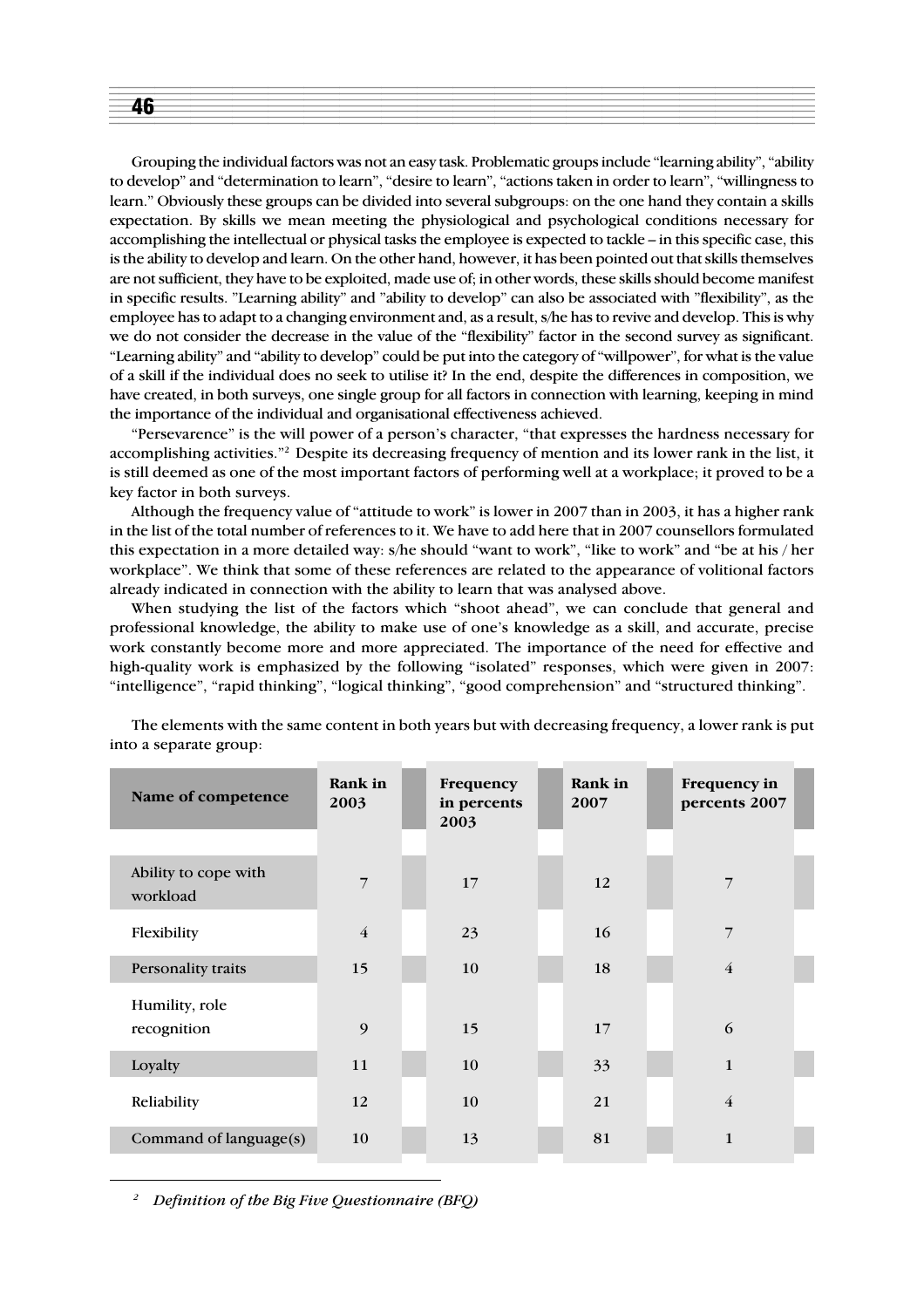| . . |
|-----|
|     |
|     |
|     |

Grouping the individual factors was not an easy task. Problematic groups include "learning ability", "ability to develop" and "determination to learn", "desire to learn", "actions taken in order to learn", "willingness to learn." Obviously these groups can be divided into several subgroups: on the one hand they contain a skills expectation. By skills we mean meeting the physiological and psychological conditions necessary for accomplishing the intellectual or physical tasks the employee is expected to tackle – in this specific case, this is the ability to develop and learn. On the other hand, however, it has been pointed out that skills themselves are not sufficient, they have to be exploited, made use of; in other words, these skills should become manifest in specific results. "Learning ability" and "ability to develop" can also be associated with "flexibility", as the employee has to adapt to a changing environment and, as a result, s/he has to revive and develop. This is why we do not consider the decrease in the value of the "flexibility" factor in the second survey as significant. "Learning ability" and "ability to develop" could be put into the category of "willpower", for what is the value of a skill if the individual does no seek to utilise it? In the end, despite the differences in composition, we have created, in both surveys, one single group for all factors in connection with learning, keeping in mind the importance of the individual and organisational effectiveness achieved.

"Persevarence" is the will power of a person's character, "that expresses the hardness necessary for accomplishing activities."2 Despite its decreasing frequency of mention and its lower rank in the list, it is still deemed as one of the most important factors of performing well at a workplace; it proved to be a key factor in both surveys.

Although the frequency value of "attitude to work" is lower in 2007 than in 2003, it has a higher rank in the list of the total number of references to it. We have to add here that in 2007 counsellors formulated this expectation in a more detailed way: s/he should "want to work", "like to work" and "be at his / her workplace". We think that some of these references are related to the appearance of volitional factors already indicated in connection with the ability to learn that was analysed above.

When studying the list of the factors which "shoot ahead", we can conclude that general and professional knowledge, the ability to make use of one's knowledge as a skill, and accurate, precise work constantly become more and more appreciated. The importance of the need for effective and high-quality work is emphasized by the following "isolated" responses, which were given in 2007: "intelligence", "rapid thinking", "logical thinking", "good comprehension" and "structured thinking".

| Name of competence               | Rank in<br>2003 | Frequency<br>in percents<br>2003 | Rank in<br>2007 | Frequency in<br>percents 2007 |  |
|----------------------------------|-----------------|----------------------------------|-----------------|-------------------------------|--|
|                                  |                 |                                  |                 |                               |  |
| Ability to cope with<br>workload | $\overline{7}$  | 17                               | 12              | 7                             |  |
| Flexibility                      | $\overline{4}$  | 23                               | 16              | $\overline{7}$                |  |
| Personality traits               | 15              | 10                               | 18              | $\overline{4}$                |  |
| Humility, role<br>recognition    | 9               | 15                               | 17              | 6                             |  |
| Loyalty                          | 11              | 10                               | 33              | $\mathbf{1}$                  |  |
| Reliability                      | 12              | 10                               | 21              | $\overline{4}$                |  |
| Command of language(s)           | 10              | 13                               | 81              | $\mathbf{1}$                  |  |

The elements with the same content in both years but with decreasing frequency, a lower rank is put into a separate group:

*<sup>2</sup> Definition of the Big Five Questionnaire (BFQ)*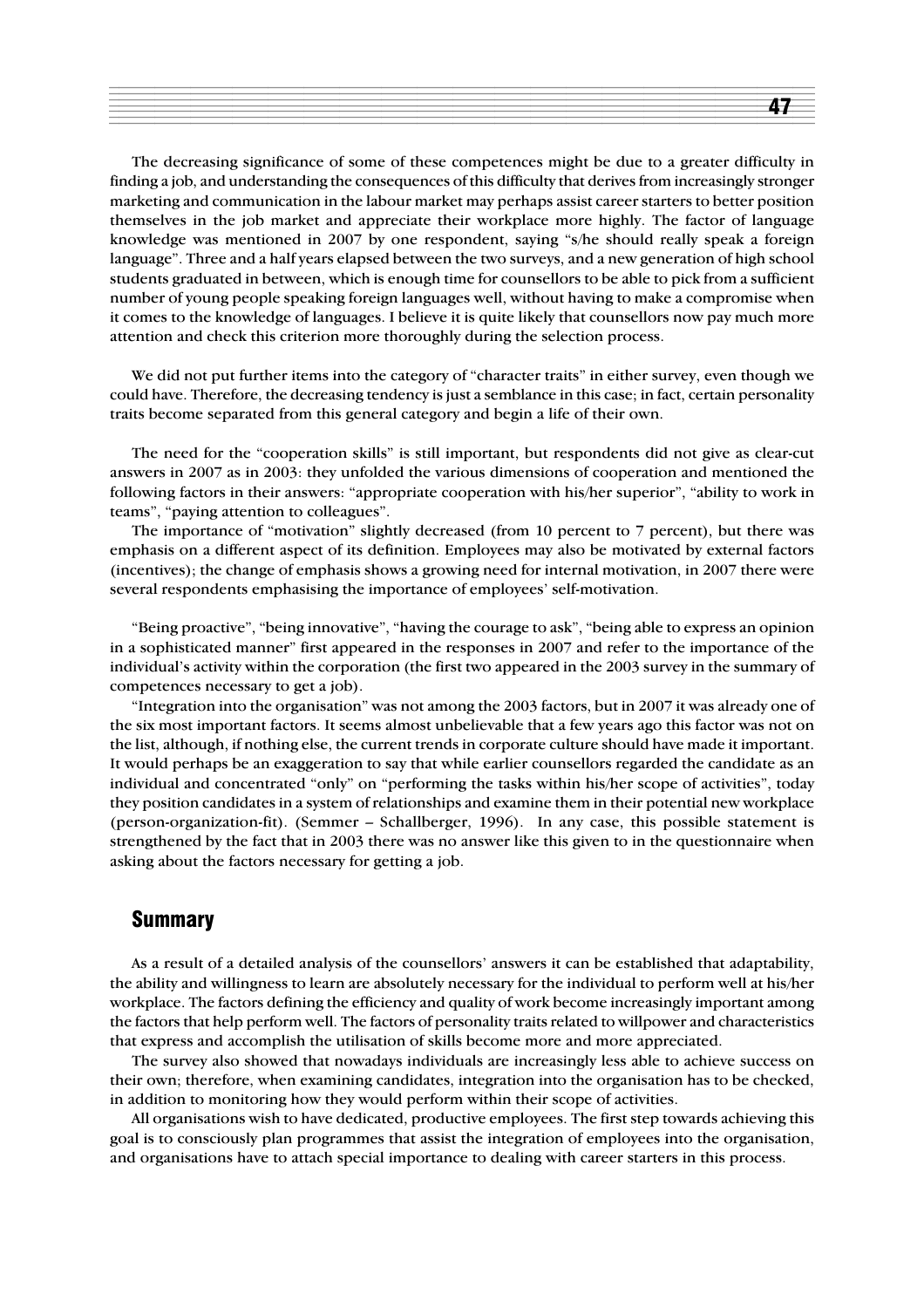The decreasing significance of some of these competences might be due to a greater difficulty in finding a job, and understanding the consequences of this difficulty that derives from increasingly stronger marketing and communication in the labour market may perhaps assist career starters to better position themselves in the job market and appreciate their workplace more highly. The factor of language knowledge was mentioned in 2007 by one respondent, saying "s/he should really speak a foreign language". Three and a half years elapsed between the two surveys, and a new generation of high school students graduated in between, which is enough time for counsellors to be able to pick from a sufficient number of young people speaking foreign languages well, without having to make a compromise when it comes to the knowledge of languages. I believe it is quite likely that counsellors now pay much more attention and check this criterion more thoroughly during the selection process.

We did not put further items into the category of "character traits" in either survey, even though we could have. Therefore, the decreasing tendency is just a semblance in this case; in fact, certain personality traits become separated from this general category and begin a life of their own.

The need for the "cooperation skills" is still important, but respondents did not give as clear-cut answers in 2007 as in 2003: they unfolded the various dimensions of cooperation and mentioned the following factors in their answers: "appropriate cooperation with his/her superior", "ability to work in teams", "paying attention to colleagues".

The importance of "motivation" slightly decreased (from 10 percent to 7 percent), but there was emphasis on a different aspect of its definition. Employees may also be motivated by external factors (incentives); the change of emphasis shows a growing need for internal motivation, in 2007 there were several respondents emphasising the importance of employees' self-motivation.

"Being proactive", "being innovative", "having the courage to ask", "being able to express an opinion in a sophisticated manner" first appeared in the responses in 2007 and refer to the importance of the individual's activity within the corporation (the first two appeared in the 2003 survey in the summary of competences necessary to get a job).

"Integration into the organisation" was not among the 2003 factors, but in 2007 it was already one of the six most important factors. It seems almost unbelievable that a few years ago this factor was not on the list, although, if nothing else, the current trends in corporate culture should have made it important. It would perhaps be an exaggeration to say that while earlier counsellors regarded the candidate as an individual and concentrated "only" on "performing the tasks within his/her scope of activities", today they position candidates in a system of relationships and examine them in their potential new workplace (person-organization-fit). (Semmer – Schallberger, 1996). In any case, this possible statement is strengthened by the fact that in 2003 there was no answer like this given to in the questionnaire when asking about the factors necessary for getting a job.

#### **Summary**

As a result of a detailed analysis of the counsellors' answers it can be established that adaptability, the ability and willingness to learn are absolutely necessary for the individual to perform well at his/her workplace. The factors defining the efficiency and quality of work become increasingly important among the factors that help perform well. The factors of personality traits related to willpower and characteristics that express and accomplish the utilisation of skills become more and more appreciated.

The survey also showed that nowadays individuals are increasingly less able to achieve success on their own; therefore, when examining candidates, integration into the organisation has to be checked, in addition to monitoring how they would perform within their scope of activities.

All organisations wish to have dedicated, productive employees. The first step towards achieving this goal is to consciously plan programmes that assist the integration of employees into the organisation, and organisations have to attach special importance to dealing with career starters in this process.